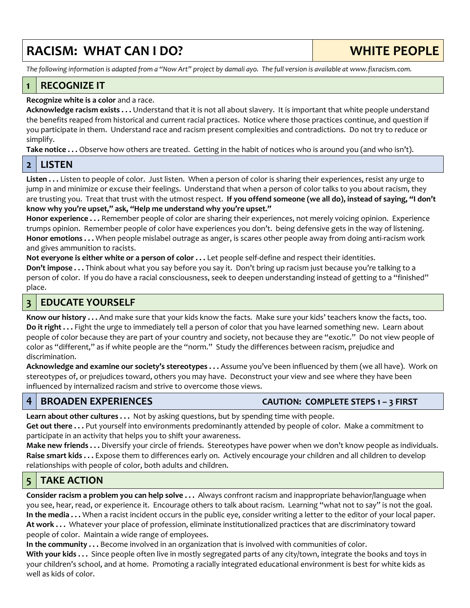# **RACISM: WHAT CAN I DO? WHITE PEOPLE**

*The following information is adapted from a "Now Art" project by damali ayo. The full version is available at www.fixracism.com.*

# **1 RECOGNIZE IT**

#### **Recognize white is a color** and a race.

**Acknowledge racism exists . . .** Understand that it is not all about slavery. It is important that white people understand the benefits reaped from historical and current racial practices. Notice where those practices continue, and question if you participate in them. Understand race and racism present complexities and contradictions. Do not try to reduce or simplify.

**Take notice . . .** Observe how others are treated. Getting in the habit of notices who is around you (and who isn't).

#### **2 LISTEN**

**Listen . . .** Listen to people of color. Just listen. When a person of color is sharing their experiences, resist any urge to jump in and minimize or excuse their feelings. Understand that when a person of color talks to you about racism, they are trusting you. Treat that trust with the utmost respect. **If you offend someone (we all do), instead of saying, "I don't know why you're upset," ask, "Help me understand why you're upset."**

**Honor experience . . .** Remember people of color are sharing their experiences, not merely voicing opinion. Experience trumps opinion. Remember people of color have experiences you don't. being defensive gets in the way of listening. **Honor emotions . . .** When people mislabel outrage as anger, is scares other people away from doing anti-racism work and gives ammunition to racists.

**Not everyone is either white or a person of color . . .** Let people self-define and respect their identities. **Don't impose . . .** Think about what you say before you say it. Don't bring up racism just because you're talking to a person of color. If you do have a racial consciousness, seek to deepen understanding instead of getting to a "finished" place.

## **3 EDUCATE YOURSELF**

**Know our history . . .** And make sure that your kids know the facts. Make sure your kids' teachers know the facts, too. **Do it right . . .** Fight the urge to immediately tell a person of color that you have learned something new. Learn about people of color because they are part of your country and society, not because they are "exotic." Do not view people of color as "different," as if white people are the "norm." Study the differences between racism, prejudice and discrimination.

**Acknowledge and examine our society's stereotypes . . .** Assume you've been influenced by them (we all have). Work on stereotypes of, or prejudices toward, others you may have. Deconstruct your view and see where they have been influenced by internalized racism and strive to overcome those views.

#### **4 BROADEN EXPERIENCES CAUTION: COMPLETE STEPS 1 – 3 FIRST**

**Learn about other cultures . . .** Not by asking questions, but by spending time with people. **Get out there . . .** Put yourself into environments predominantly attended by people of color. Make a commitment to participate in an activity that helps you to shift your awareness.

**Make new friends . . .** Diversify your circle of friends. Stereotypes have power when we don't know people as individuals. **Raise smart kids . . .** Expose them to differences early on. Actively encourage your children and all children to develop relationships with people of color, both adults and children.

# **5 TAKE ACTION**

**Consider racism a problem you can help solve . . .** Always confront racism and inappropriate behavior/language when you see, hear, read, or experience it. Encourage others to talk about racism. Learning "what not to say" is not the goal. **In the media . . .** When a racist incident occurs in the public eye, consider writing a letter to the editor of your local paper. **At work . . .** Whatever your place of profession, eliminate institutionalized practices that are discriminatory toward people of color. Maintain a wide range of employees.

**In the community . . .** Become involved in an organization that is involved with communities of color.

**With your kids . . .** Since people often live in mostly segregated parts of any city/town, integrate the books and toys in your children's school, and at home. Promoting a racially integrated educational environment is best for white kids as well as kids of color.